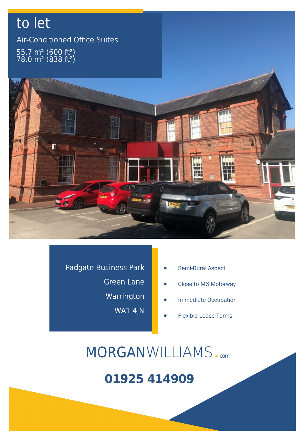## to let Air-Conditioned Office Suites  $-55.7$  m² (600 ft²)  $78.0 \text{ m}^2 \ (838 \text{ ft}^2)$



Padgate Business Park Green Lane Warrington WA1 4JN

- Semi-Rural Aspect
- Close to M6 Motorway
- Immediate Occupation
- Flexible Lease Terms

MORGANWILLIAMS.com

## 01925 414909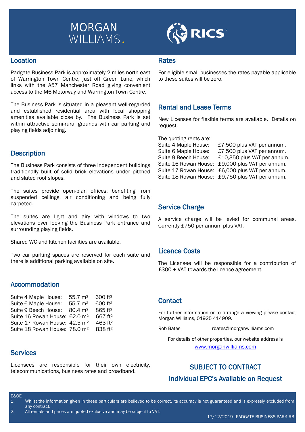

**RICS** 

#### Location

Padgate Business Park is approximately 2 miles north east of Warrington Town Centre, just off Green Lane, which links with the A57 Manchester Road giving convenient access to the M6 Motorway and Warrington Town Centre.

The Business Park is situated in a pleasant well-regarded and established residential area with local shopping amenities available close by. The Business Park is set within attractive semi-rural grounds with car parking and playing fields adjoining.

#### **Description**

The Business Park consists of three independent buildings traditionally built of solid brick elevations under pitched and slated roof slopes.

The suites provide open-plan offices, benefiting from suspended ceilings, air conditioning and being fully carpeted.

The suites are light and airy with windows to two elevations over looking the Business Park entrance and surrounding playing fields.

Shared WC and kitchen facilities are available.

Two car parking spaces are reserved for each suite and there is additional parking available on site.

#### Accommodation

| Suite 4 Maple House:                      | $55.7 \; \mathrm{m}^2$ | 600 ft <sup>2</sup> |
|-------------------------------------------|------------------------|---------------------|
| Suite 6 Maple House:                      | 55.7 m <sup>2</sup>    | 600 ft <sup>2</sup> |
| Suite 9 Beech House:                      | $80.4 \; \mathrm{m}^2$ | 865 ft <sup>2</sup> |
| Suite 16 Rowan House: 62.0 m <sup>2</sup> |                        | 667 ft <sup>2</sup> |
| Suite 17 Rowan House: 42.5 m <sup>2</sup> |                        | 463 ft <sup>2</sup> |
| Suite 18 Rowan House: 78.0 m <sup>2</sup> |                        | 838 ft <sup>2</sup> |

#### **Services**

Licensees are responsible for their own electricity, telecommunications, business rates and broadband.

#### **Rates**

For eligible small businesses the rates payable applicable to these suites will be zero.

#### Rental and Lease Terms

New Licenses for flexible terms are available. Details on request.

The quoting rents are:

Suite 4 Maple House: £7,500 plus VAT per annum. Suite 6 Maple House: £7,500 plus VAT per annum. Suite 9 Beech House: £10,350 plus VAT per annum. Suite 16 Rowan House: £9,000 plus VAT per annum. Suite 17 Rowan House: £6,000 plus VAT per annum. Suite 18 Rowan House: £9,750 plus VAT per annum.

#### Service Charge

A service charge will be levied for communal areas. Currently £750 per annum plus VAT.

#### Licence Costs

The Licensee will be responsible for a contribution of £300 + VAT towards the licence agreement.

#### **Contact**

For further information or to arrange a viewing please contact Morgan Williams, 01925 414909.

Rob Bates rbates@morganwilliams.com

For details of other properties, our website address is www.morganwilliams.com

### SUBJECT TO CONTRACT Individual EPC's Available on Request

E&OE

- 1. Whilst the information given in these particulars are believed to be correct, its accuracy is not guaranteed and is expressly excluded from any contract.
- 2. All rentals and prices are quoted exclusive and may be subject to VAT.